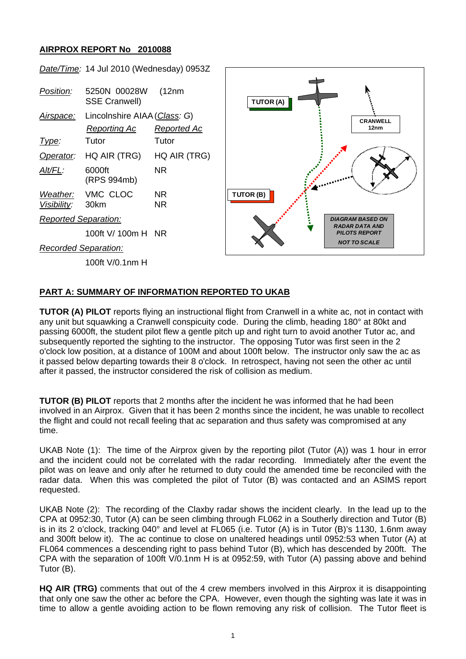## **AIRPROX REPORT No 2010088**

|                             | Date/Time: 14 Jul 2010 (Wednesday) 0953Z |                    |                     |                                               |
|-----------------------------|------------------------------------------|--------------------|---------------------|-----------------------------------------------|
| <u>Position:</u>            | 5250N 00028W<br><b>SSE Cranwell)</b>     | (12nm)             | <b>TUTOR (A)</b>    | Ą                                             |
| <u>Airspace:</u>            | Lincolnshire AIAA (Class: G)             |                    |                     | <b>CRANWELL</b>                               |
|                             | <b>Reporting Ac</b>                      | <b>Reported Ac</b> |                     | 12nm                                          |
| Type:                       | Tutor                                    | Tutor              |                     |                                               |
| Operator:                   | HQ AIR (TRG)                             | HQ AIR (TRG)       |                     |                                               |
| Alt/FL:                     | 6000ft<br>(RPS 994mb)                    | <b>NR</b>          |                     |                                               |
| Weather:<br>Visibility:     | VMC CLOC<br>30km                         | NR.<br><b>NR</b>   | TUTOR (B)           |                                               |
| <b>Reported Separation:</b> |                                          |                    |                     | <b>DIAGRAM BASED ON</b>                       |
|                             | 100ft V/ 100m H NR                       |                    |                     | <b>RADAR DATA AND</b><br><b>PILOTS REPORT</b> |
| <b>Recorded Separation:</b> |                                          |                    | <b>NOT TO SCALE</b> |                                               |
|                             | 100ft V/0.1nm H                          |                    |                     |                                               |
|                             |                                          |                    |                     |                                               |

## **PART A: SUMMARY OF INFORMATION REPORTED TO UKAB**

**TUTOR (A) PILOT** reports flying an instructional flight from Cranwell in a white ac, not in contact with any unit but squawking a Cranwell conspicuity code. During the climb, heading 180° at 80kt and passing 6000ft, the student pilot flew a gentle pitch up and right turn to avoid another Tutor ac, and subsequently reported the sighting to the instructor. The opposing Tutor was first seen in the 2 o'clock low position, at a distance of 100M and about 100ft below. The instructor only saw the ac as it passed below departing towards their 8 o'clock. In retrospect, having not seen the other ac until after it passed, the instructor considered the risk of collision as medium.

**TUTOR (B) PILOT** reports that 2 months after the incident he was informed that he had been involved in an Airprox. Given that it has been 2 months since the incident, he was unable to recollect the flight and could not recall feeling that ac separation and thus safety was compromised at any time.

UKAB Note (1): The time of the Airprox given by the reporting pilot (Tutor (A)) was 1 hour in error and the incident could not be correlated with the radar recording. Immediately after the event the pilot was on leave and only after he returned to duty could the amended time be reconciled with the radar data. When this was completed the pilot of Tutor (B) was contacted and an ASIMS report requested.

UKAB Note (2): The recording of the Claxby radar shows the incident clearly. In the lead up to the CPA at 0952:30, Tutor (A) can be seen climbing through FL062 in a Southerly direction and Tutor (B) is in its 2 o'clock, tracking 040° and level at FL065 (i.e. Tutor (A) is in Tutor (B)'s 1130, 1.6nm away and 300ft below it). The ac continue to close on unaltered headings until 0952:53 when Tutor (A) at FL064 commences a descending right to pass behind Tutor (B), which has descended by 200ft. The CPA with the separation of 100ft V/0.1nm H is at 0952:59, with Tutor (A) passing above and behind Tutor (B).

**HQ AIR (TRG)** comments that out of the 4 crew members involved in this Airprox it is disappointing that only one saw the other ac before the CPA. However, even though the sighting was late it was in time to allow a gentle avoiding action to be flown removing any risk of collision. The Tutor fleet is